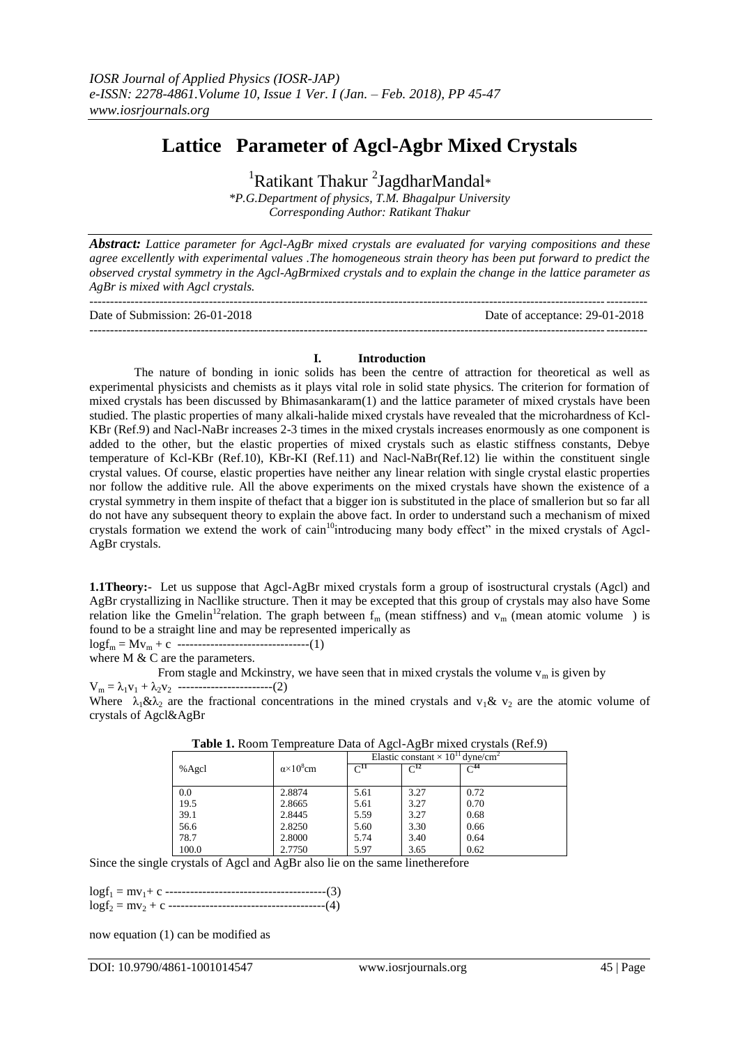# **Lattice Parameter of Agcl-Agbr Mixed Crystals**

<sup>1</sup>Ratikant Thakur<sup>2</sup>JagdharMandal\*

*\*P.G.Department of physics, T.M. Bhagalpur University Corresponding Author: Ratikant Thakur*

*Abstract: Lattice parameter for Agcl-AgBr mixed crystals are evaluated for varying compositions and these agree excellently with experimental values .The homogeneous strain theory has been put forward to predict the observed crystal symmetry in the Agcl-AgBrmixed crystals and to explain the change in the lattice parameter as AgBr is mixed with Agcl crystals.*

| Date of Submission: 26-01-2018 | Date of acceptance: 29-01-2018 |
|--------------------------------|--------------------------------|

# ---------------------------------------------------------------------------------------------------------------------------------------

**I. Introduction** The nature of bonding in ionic solids has been the centre of attraction for theoretical as well as experimental physicists and chemists as it plays vital role in solid state physics. The criterion for formation of mixed crystals has been discussed by Bhimasankaram(1) and the lattice parameter of mixed crystals have been studied. The plastic properties of many alkali-halide mixed crystals have revealed that the microhardness of Kcl-KBr (Ref.9) and Nacl-NaBr increases 2-3 times in the mixed crystals increases enormously as one component is added to the other, but the elastic properties of mixed crystals such as elastic stiffness constants, Debye temperature of Kcl-KBr (Ref.10), KBr-KI (Ref.11) and Nacl-NaBr(Ref.12) lie within the constituent single crystal values. Of course, elastic properties have neither any linear relation with single crystal elastic properties nor follow the additive rule. All the above experiments on the mixed crystals have shown the existence of a crystal symmetry in them inspite of thefact that a bigger ion is substituted in the place of smallerion but so far all do not have any subsequent theory to explain the above fact. In order to understand such a mechanism of mixed crystals formation we extend the work of cain<sup>10</sup>introducing many body effect" in the mixed crystals of Agcl-AgBr crystals.

**1.1Theory:**- Let us suppose that Agcl-AgBr mixed crystals form a group of isostructural crystals (Agcl) and AgBr crystallizing in Nacllike structure. Then it may be excepted that this group of crystals may also have Some relation like the Gmelin<sup>12</sup>relation. The graph between  $f_m$  (mean stiffness) and  $v_m$  (mean atomic volume) is found to be a straight line and may be represented imperically as

logf<sup>m</sup> = Mv<sup>m</sup> + c --------------------------------(1)

where M & C are the parameters.

From stagle and Mckinstry, we have seen that in mixed crystals the volume  $v_m$  is given by  $V_m = \lambda_1 v_1 + \lambda_2 v_2$  ------------------------(2)

Where  $\lambda_1 \& \lambda_2$  are the fractional concentrations in the mined crystals and  $v_1 \& v_2$  are the atomic volume of crystals of Agcl&AgBr

|       |                              | Elastic constant $\times 10^{11}$ dyne/cm <sup>2</sup> |                   |          |
|-------|------------------------------|--------------------------------------------------------|-------------------|----------|
| %Agcl | $\alpha$ ×10 <sup>8</sup> cm | $\mathrm{C}^{11}$                                      | $\mathrm{C}^{12}$ | $C^{44}$ |
|       |                              |                                                        |                   |          |
| 0.0   | 2.8874                       | 5.61                                                   | 3.27              | 0.72     |
| 19.5  | 2.8665                       | 5.61                                                   | 3.27              | 0.70     |
| 39.1  | 2.8445                       | 5.59                                                   | 3.27              | 0.68     |
| 56.6  | 2.8250                       | 5.60                                                   | 3.30              | 0.66     |
| 78.7  | 2.8000                       | 5.74                                                   | 3.40              | 0.64     |
| 100.0 | 2.7750                       | 5.97                                                   | 3.65              | 0.62     |

**Table 1.** Room Tempreature Data of Agcl-AgBr mixed crystals (Ref.9)

Since the single crystals of Agcl and AgBr also lie on the same linetherefore

logf<sup>1</sup> = mv1+ c ---------------------------------------(3) logf<sup>2</sup> = mv<sup>2</sup> + c --------------------------------------(4)

now equation (1) can be modified as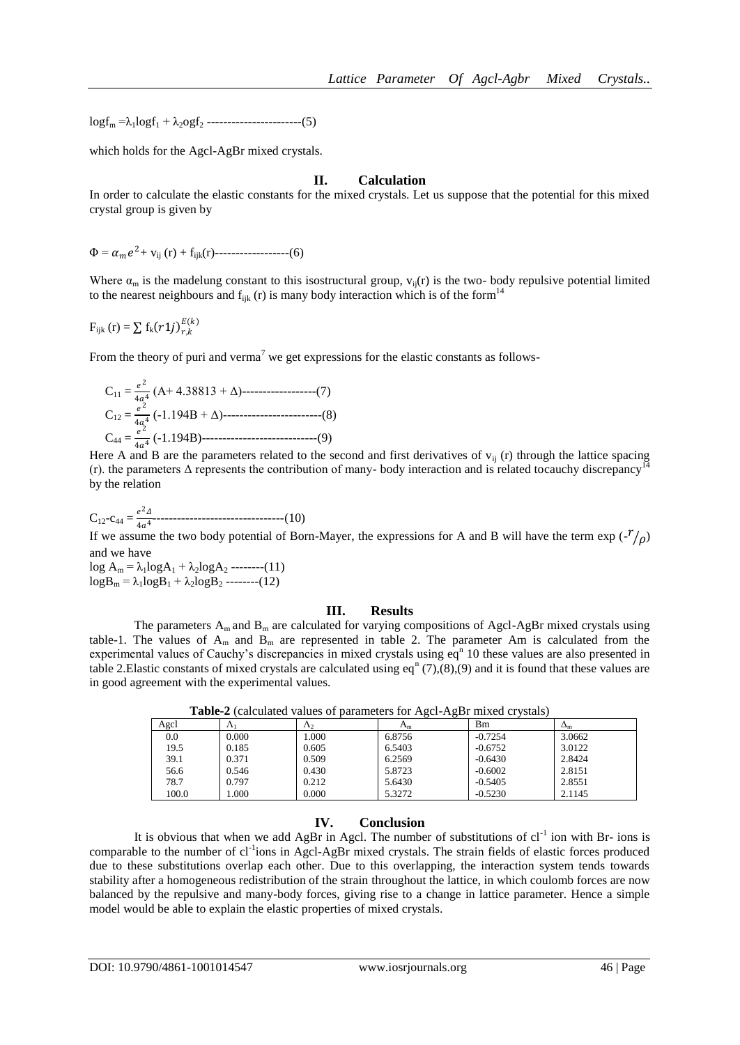$log f_m = \lambda_1 log f_1 + \lambda_2 log f_2$  ------------------------(5)

which holds for the Agcl-AgBr mixed crystals.

## **II. Calculation**

In order to calculate the elastic constants for the mixed crystals. Let us suppose that the potential for this mixed crystal group is given by

 $\Phi = \alpha_m e^2 + v_{ij}(r) + f_{ijk}(r)$ -------------------(6)

Where  $\alpha_m$  is the madelung constant to this isostructural group,  $v_{ii}(r)$  is the two- body repulsive potential limited to the nearest neighbours and  $f_{ijk}(r)$  is many body interaction which is of the form<sup>14</sup>

 $F_{ijk} (r) = \sum f_k (r1j)_{r,k}^{E(k)}$  $E(k)$ 

From the theory of puri and verma<sup>7</sup> we get expressions for the elastic constants as follows-

$$
C_{11} = \frac{e^2}{4a^4} (A + 4.38813 + \Delta) \dots (7)
$$
  
\n
$$
C_{12} = \frac{e^2}{4a^4} (-1.194B + \Delta) \dots (8)
$$
  
\n
$$
C_{44} = \frac{e^2}{4a^4} (-1.194B) \dots (9)
$$

Here A and B are the parameters related to the second and first derivatives of  $v_{ij}$  (r) through the lattice spacing (r). the parameters  $\Delta$  represents the contribution of many- body interaction and is related tocauchy discrepancy<sup>14</sup> by the relation

 $C_{12} - c_{44} = \frac{e^2 \Delta}{4 \sigma^4}$ 4 4 --------------------------------(10)

If we assume the two body potential of Born-Mayer, the expressions for A and B will have the term  $\exp(\frac{-r}{\rho})$ and we have

 $\log A_m = \lambda_1 \log A_1 + \lambda_2 \log A_2$  --------(11)  $logB_m = \lambda_1 logB_1 + \lambda_2 logB_2$  --------(12)

#### **III. Results**

The parameters  $A_m$  and  $B_m$  are calculated for varying compositions of Agcl-AgBr mixed crystals using table-1. The values of  $A_m$  and  $B_m$  are represented in table 2. The parameter Am is calculated from the experimental values of Cauchy's discrepancies in mixed crystals using  $eq<sup>n</sup>$  10 these values are also presented in table 2. Elastic constants of mixed crystals are calculated using eq<sup>n</sup> (7),(8),(9) and it is found that these values are in good agreement with the experimental values.

| Agel  | 7X <sub>1</sub> | $\Lambda$ | $A_m$  | Bm        | $\Delta_{\rm m}$ |
|-------|-----------------|-----------|--------|-----------|------------------|
| 0.0   | 0.000           | 000.1     | 6.8756 | $-0.7254$ | 3.0662           |
| 19.5  | 0.185           | 0.605     | 6.5403 | $-0.6752$ | 3.0122           |
| 39.1  | 0.371           | 0.509     | 6.2569 | $-0.6430$ | 2.8424           |
| 56.6  | 0.546           | 0.430     | 5.8723 | $-0.6002$ | 2.8151           |
| 78.7  | 0.797           | 0.212     | 5.6430 | $-0.5405$ | 2.8551           |
| 100.0 | .000.           | 0.000     | 5.3272 | $-0.5230$ | 2.1145           |

**Table-2** (calculated values of parameters for Agcl-AgBr mixed crystals)

# **IV. Conclusion**

It is obvious that when we add AgBr in Agcl. The number of substitutions of  $cl^{-1}$  ion with Br- ions is comparable to the number of cl<sup>-1</sup>ions in Agcl-AgBr mixed crystals. The strain fields of elastic forces produced due to these substitutions overlap each other. Due to this overlapping, the interaction system tends towards stability after a homogeneous redistribution of the strain throughout the lattice, in which coulomb forces are now balanced by the repulsive and many-body forces, giving rise to a change in lattice parameter. Hence a simple model would be able to explain the elastic properties of mixed crystals.